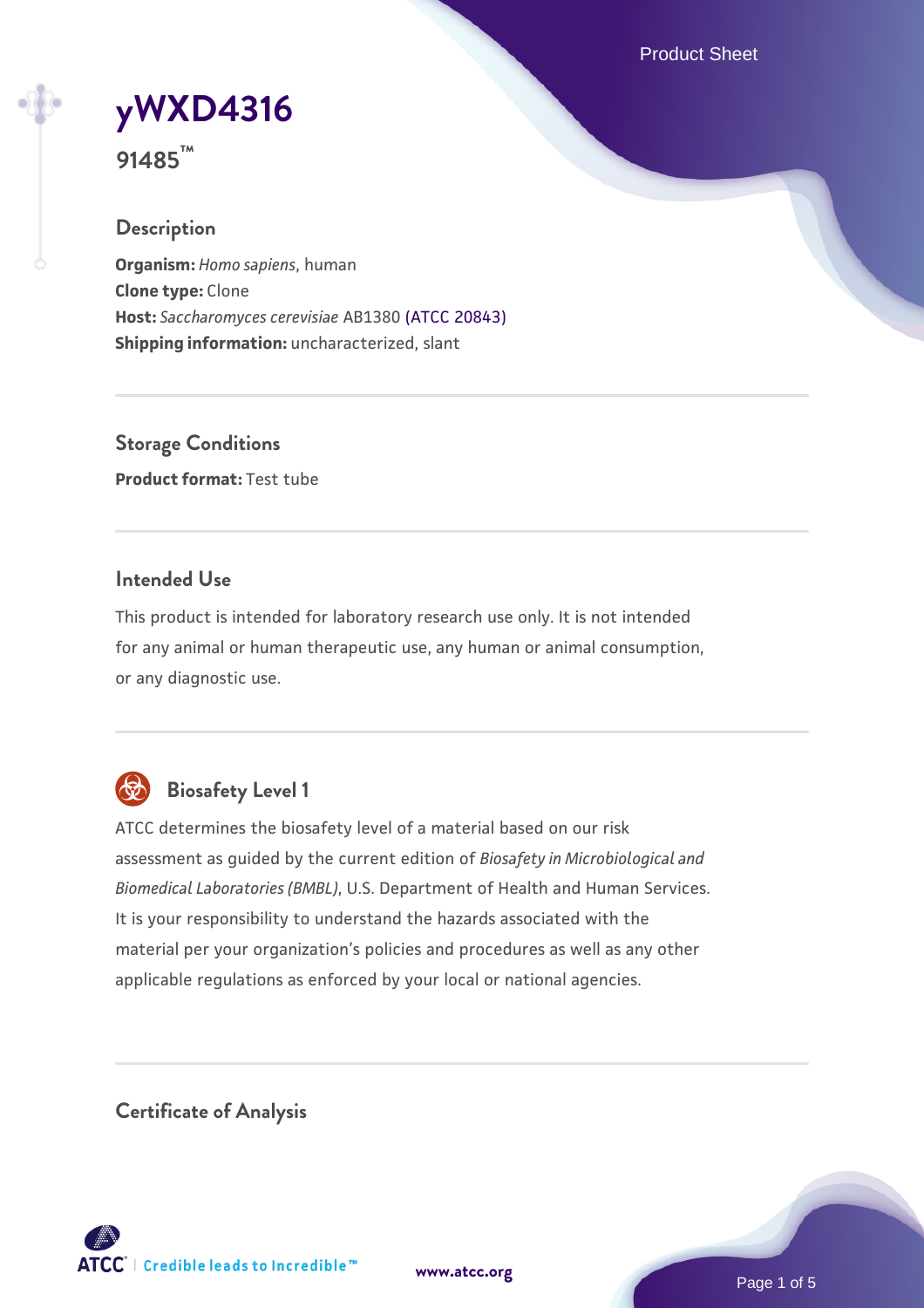Product Sheet



**91485™**

# **Description**

**Organism:** *Homo sapiens*, human **Clone type:** Clone **Host:** *Saccharomyces cerevisiae* AB1380 [\(ATCC 20843\)](https://www.atcc.org/products/20843) **Shipping information:** uncharacterized, slant

**Storage Conditions Product format:** Test tube

### **Intended Use**

This product is intended for laboratory research use only. It is not intended for any animal or human therapeutic use, any human or animal consumption, or any diagnostic use.



# **Biosafety Level 1**

ATCC determines the biosafety level of a material based on our risk assessment as guided by the current edition of *Biosafety in Microbiological and Biomedical Laboratories (BMBL)*, U.S. Department of Health and Human Services. It is your responsibility to understand the hazards associated with the material per your organization's policies and procedures as well as any other applicable regulations as enforced by your local or national agencies.

**Certificate of Analysis**

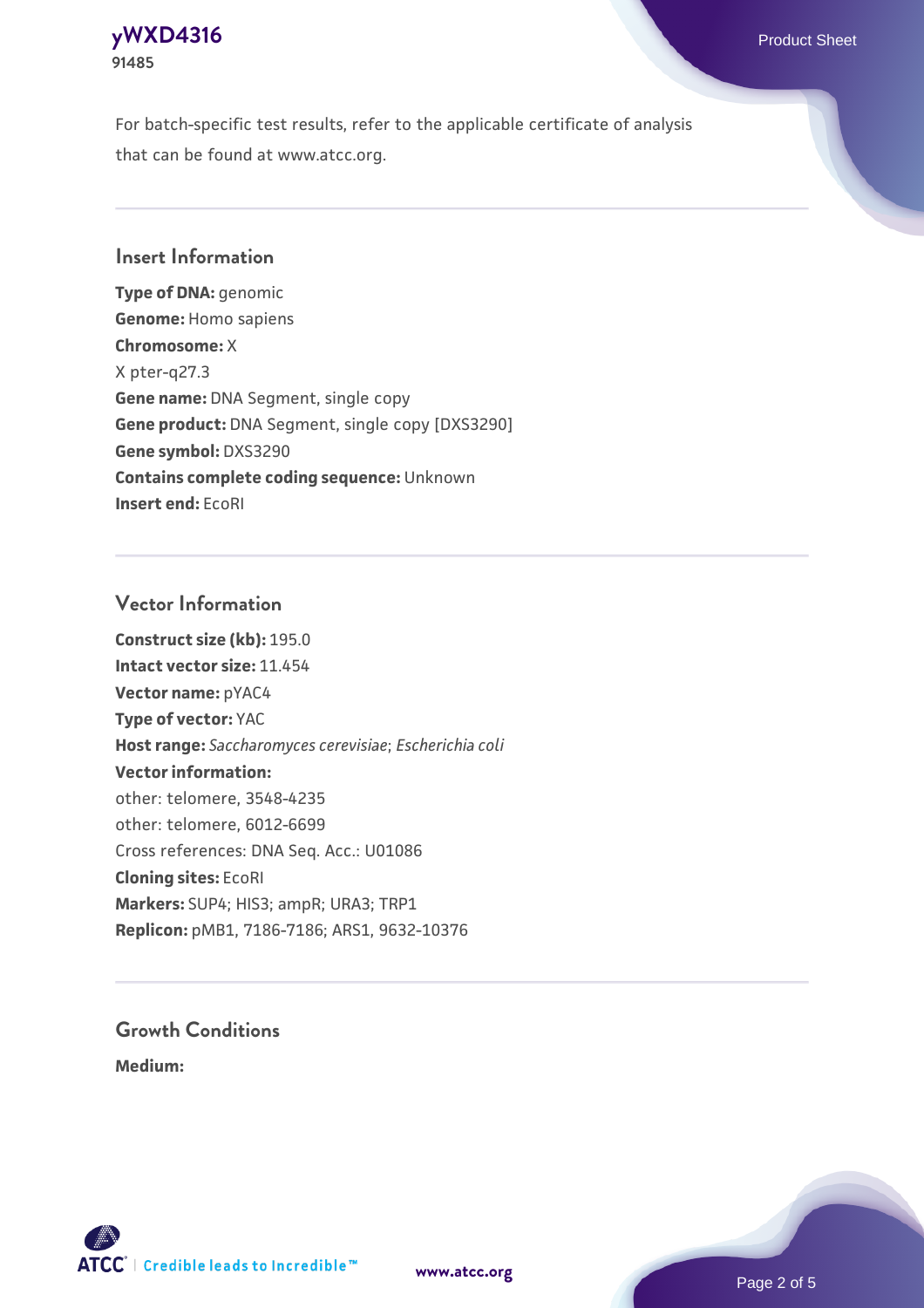### **[yWXD4316](https://www.atcc.org/products/91485)** Product Sheet **91485**

For batch-specific test results, refer to the applicable certificate of analysis that can be found at www.atcc.org.

### **Insert Information**

**Type of DNA:** genomic **Genome:** Homo sapiens **Chromosome:** X X pter-q27.3 **Gene name:** DNA Segment, single copy **Gene product:** DNA Segment, single copy [DXS3290] **Gene symbol:** DXS3290 **Contains complete coding sequence:** Unknown **Insert end:** EcoRI

### **Vector Information**

**Construct size (kb):** 195.0 **Intact vector size:** 11.454 **Vector name:** pYAC4 **Type of vector:** YAC **Host range:** *Saccharomyces cerevisiae*; *Escherichia coli* **Vector information:** other: telomere, 3548-4235 other: telomere, 6012-6699 Cross references: DNA Seq. Acc.: U01086 **Cloning sites:** EcoRI **Markers:** SUP4; HIS3; ampR; URA3; TRP1 **Replicon:** pMB1, 7186-7186; ARS1, 9632-10376

# **Growth Conditions**

**Medium:** 



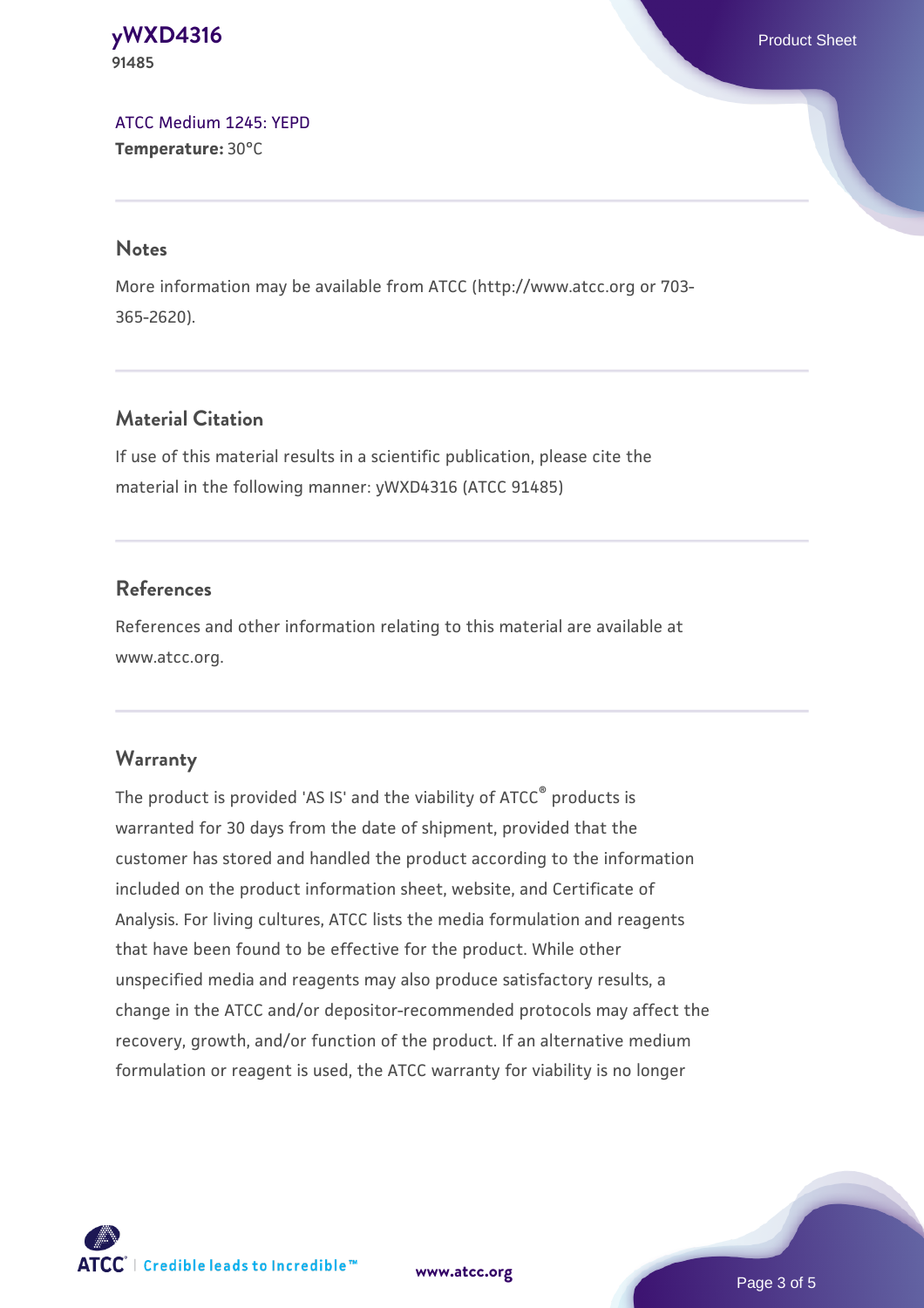#### **[yWXD4316](https://www.atcc.org/products/91485)** Product Sheet **91485**

[ATCC Medium 1245: YEPD](https://www.atcc.org/-/media/product-assets/documents/microbial-media-formulations/1/2/4/5/atcc-medium-1245.pdf?rev=705ca55d1b6f490a808a965d5c072196) **Temperature:** 30°C

#### **Notes**

More information may be available from ATCC (http://www.atcc.org or 703- 365-2620).

# **Material Citation**

If use of this material results in a scientific publication, please cite the material in the following manner: yWXD4316 (ATCC 91485)

# **References**

References and other information relating to this material are available at www.atcc.org.

# **Warranty**

The product is provided 'AS IS' and the viability of ATCC® products is warranted for 30 days from the date of shipment, provided that the customer has stored and handled the product according to the information included on the product information sheet, website, and Certificate of Analysis. For living cultures, ATCC lists the media formulation and reagents that have been found to be effective for the product. While other unspecified media and reagents may also produce satisfactory results, a change in the ATCC and/or depositor-recommended protocols may affect the recovery, growth, and/or function of the product. If an alternative medium formulation or reagent is used, the ATCC warranty for viability is no longer



**[www.atcc.org](http://www.atcc.org)**

Page 3 of 5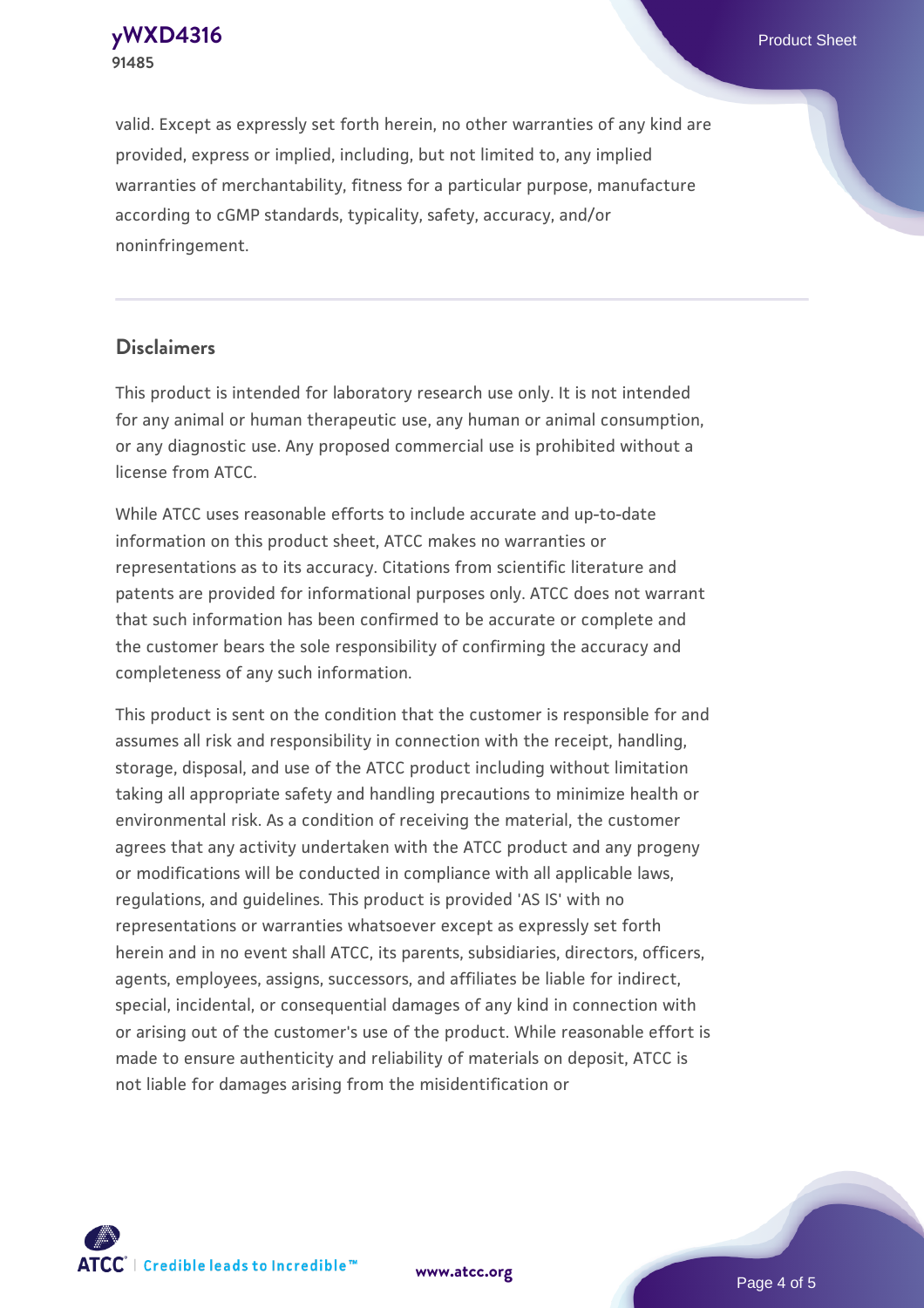**[yWXD4316](https://www.atcc.org/products/91485)** Product Sheet **91485**

valid. Except as expressly set forth herein, no other warranties of any kind are provided, express or implied, including, but not limited to, any implied warranties of merchantability, fitness for a particular purpose, manufacture according to cGMP standards, typicality, safety, accuracy, and/or noninfringement.

#### **Disclaimers**

This product is intended for laboratory research use only. It is not intended for any animal or human therapeutic use, any human or animal consumption, or any diagnostic use. Any proposed commercial use is prohibited without a license from ATCC.

While ATCC uses reasonable efforts to include accurate and up-to-date information on this product sheet, ATCC makes no warranties or representations as to its accuracy. Citations from scientific literature and patents are provided for informational purposes only. ATCC does not warrant that such information has been confirmed to be accurate or complete and the customer bears the sole responsibility of confirming the accuracy and completeness of any such information.

This product is sent on the condition that the customer is responsible for and assumes all risk and responsibility in connection with the receipt, handling, storage, disposal, and use of the ATCC product including without limitation taking all appropriate safety and handling precautions to minimize health or environmental risk. As a condition of receiving the material, the customer agrees that any activity undertaken with the ATCC product and any progeny or modifications will be conducted in compliance with all applicable laws, regulations, and guidelines. This product is provided 'AS IS' with no representations or warranties whatsoever except as expressly set forth herein and in no event shall ATCC, its parents, subsidiaries, directors, officers, agents, employees, assigns, successors, and affiliates be liable for indirect, special, incidental, or consequential damages of any kind in connection with or arising out of the customer's use of the product. While reasonable effort is made to ensure authenticity and reliability of materials on deposit, ATCC is not liable for damages arising from the misidentification or



**[www.atcc.org](http://www.atcc.org)**

Page 4 of 5